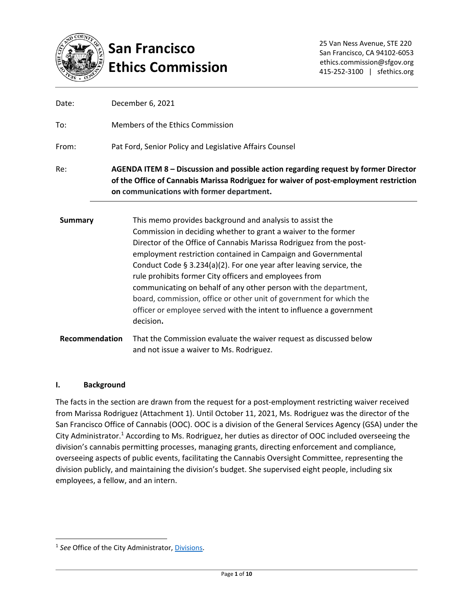

# **San Francisco Ethics Commission**

| $P_{\text{t}}$ | This we are a musulale a booling and and one high to peoplet the                                                                                                                                                          |
|----------------|---------------------------------------------------------------------------------------------------------------------------------------------------------------------------------------------------------------------------|
| Re:            | AGENDA ITEM 8 – Discussion and possible action regarding request by former Director<br>of the Office of Cannabis Marissa Rodriguez for waiver of post-employment restriction<br>on communications with former department. |
| From:          | Pat Ford, Senior Policy and Legislative Affairs Counsel                                                                                                                                                                   |
| To:            | Members of the Ethics Commission                                                                                                                                                                                          |
| Date:          | December 6, 2021                                                                                                                                                                                                          |

| <b>Summary</b> | This memo provides background and analysis to assist the                                                                                                                                                                                                                                                                                                                                                                                                                                                 |
|----------------|----------------------------------------------------------------------------------------------------------------------------------------------------------------------------------------------------------------------------------------------------------------------------------------------------------------------------------------------------------------------------------------------------------------------------------------------------------------------------------------------------------|
|                | Commission in deciding whether to grant a waiver to the former                                                                                                                                                                                                                                                                                                                                                                                                                                           |
|                | Director of the Office of Cannabis Marissa Rodriguez from the post-<br>employment restriction contained in Campaign and Governmental<br>Conduct Code $\S$ 3.234(a)(2). For one year after leaving service, the<br>rule prohibits former City officers and employees from<br>communicating on behalf of any other person with the department,<br>board, commission, office or other unit of government for which the<br>officer or employee served with the intent to influence a government<br>decision. |
| Recommendation | That the Commission evaluate the waiver request as discussed below<br>and not issue a waiver to Ms. Rodriguez.                                                                                                                                                                                                                                                                                                                                                                                           |

# **I. Background**

The facts in the section are drawn from the request for a post-employment restricting waiver received from Marissa Rodriguez (Attachment 1). Until October 11, 2021, Ms. Rodriguez was the director of the San Francisco Office of Cannabis (OOC). OOC is a division of the General Services Agency (GSA) under the City Administrator.<sup>1</sup> According to Ms. Rodriguez, her duties as director of OOC included overseeing the division's cannabis permitting processes, managing grants, directing enforcement and compliance, overseeing aspects of public events, facilitating the Cannabis Oversight Committee, representing the division publicly, and maintaining the division's budget. She supervised eight people, including six employees, a fellow, and an intern.

<sup>&</sup>lt;sup>1</sup> See Office of the City Administrator, *Divisions*.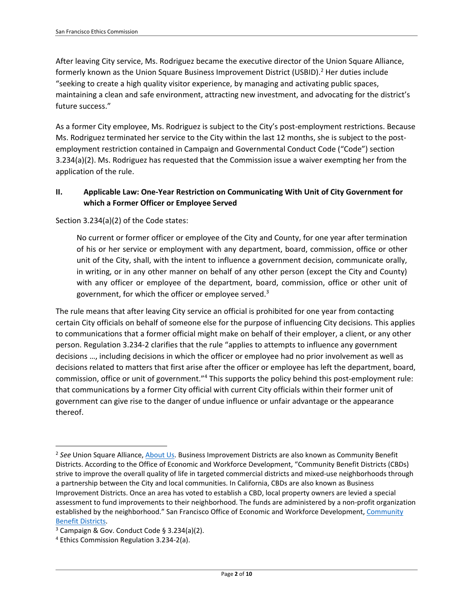After leaving City service, Ms. Rodriguez became the executive director of the Union Square Alliance, formerly known as the Union Square Business Improvement District (USBID).<sup>2</sup> Her duties include "seeking to create a high quality visitor experience, by managing and activating public spaces, maintaining a clean and safe environment, attracting new investment, and advocating for the district's future success."

As a former City employee, Ms. Rodriguez is subject to the City's post-employment restrictions. Because Ms. Rodriguez terminated her service to the City within the last 12 months, she is subject to the postemployment restriction contained in Campaign and Governmental Conduct Code ("Code") section 3.234(a)(2). Ms. Rodriguez has requested that the Commission issue a waiver exempting her from the application of the rule.

# **II. Applicable Law: One-Year Restriction on Communicating With Unit of City Government for which a Former Officer or Employee Served**

Section 3.234(a)(2) of the Code states:

No current or former officer or employee of the City and County, for one year after termination of his or her service or employment with any department, board, commission, office or other unit of the City, shall, with the intent to influence a government decision, communicate orally, in writing, or in any other manner on behalf of any other person (except the City and County) with any officer or employee of the department, board, commission, office or other unit of government, for which the officer or employee served.<sup>3</sup>

The rule means that after leaving City service an official is prohibited for one year from contacting certain City officials on behalf of someone else for the purpose of influencing City decisions. This applies to communications that a former official might make on behalf of their employer, a client, or any other person. Regulation 3.234-2 clarifies that the rule "applies to attempts to influence any government decisions …, including decisions in which the officer or employee had no prior involvement as well as decisions related to matters that first arise after the officer or employee has left the department, board, commission, office or unit of government."<sup>4</sup> This supports the policy behind this post-employment rule: that communications by a former City official with current City officials within their former unit of government can give rise to the danger of undue influence or unfair advantage or the appearance thereof.

<sup>&</sup>lt;sup>2</sup> See Union Square Alliance, <u>About Us</u>. Business Improvement Districts are also known as Community Benefit Districts. According to the Office of Economic and Workforce Development, "Community Benefit Districts (CBDs) strive to improve the overall quality of life in targeted commercial districts and mixed-use neighborhoods through a partnership between the City and local communities. In California, CBDs are also known as Business Improvement Districts. Once an area has voted to establish a CBD, local property owners are levied a special assessment to fund improvements to their neighborhood. The funds are administered by a non-profit organization established by the neighborhood." San Francisco Office of Economic and Workforce Development, Community [Benefit Districts.](https://oewd.org/community-benefit-districts)

 $3$  Campaign & Gov. Conduct Code § 3.234(a)(2).

<sup>4</sup> Ethics Commission Regulation 3.234-2(a).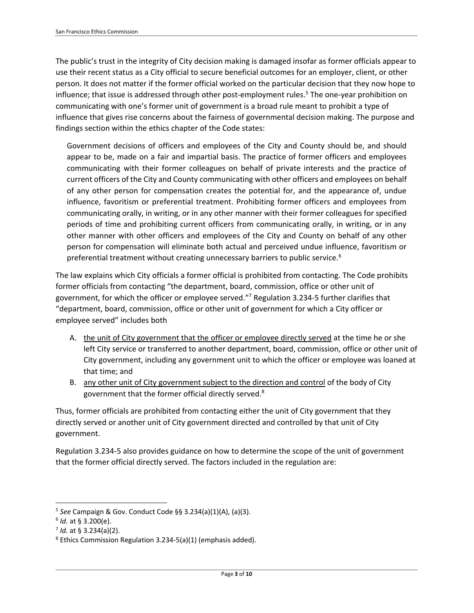The public's trust in the integrity of City decision making is damaged insofar as former officials appear to use their recent status as a City official to secure beneficial outcomes for an employer, client, or other person. It does not matter if the former official worked on the particular decision that they now hope to influence; that issue is addressed through other post-employment rules. 5 The one-year prohibition on communicating with one's former unit of government is a broad rule meant to prohibit a type of influence that gives rise concerns about the fairness of governmental decision making. The purpose and findings section within the ethics chapter of the Code states:

Government decisions of officers and employees of the City and County should be, and should appear to be, made on a fair and impartial basis. The practice of former officers and employees communicating with their former colleagues on behalf of private interests and the practice of current officers of the City and County communicating with other officers and employees on behalf of any other person for compensation creates the potential for, and the appearance of, undue influence, favoritism or preferential treatment. Prohibiting former officers and employees from communicating orally, in writing, or in any other manner with their former colleagues for specified periods of time and prohibiting current officers from communicating orally, in writing, or in any other manner with other officers and employees of the City and County on behalf of any other person for compensation will eliminate both actual and perceived undue influence, favoritism or preferential treatment without creating unnecessary barriers to public service.<sup>6</sup>

The law explains which City officials a former official is prohibited from contacting. The Code prohibits former officials from contacting "the department, board, commission, office or other unit of government, for which the officer or employee served."<sup>7</sup> Regulation 3.234-5 further clarifies that "department, board, commission, office or other unit of government for which a City officer or employee served" includes both

- A. the unit of City government that the officer or employee directly served at the time he or she left City service or transferred to another department, board, commission, office or other unit of City government, including any government unit to which the officer or employee was loaned at that time; and
- B. any other unit of City government subject to the direction and control of the body of City government that the former official directly served.<sup>8</sup>

Thus, former officials are prohibited from contacting either the unit of City government that they directly served or another unit of City government directed and controlled by that unit of City government.

Regulation 3.234-5 also provides guidance on how to determine the scope of the unit of government that the former official directly served. The factors included in the regulation are:

<sup>5</sup> *See* Campaign & Gov. Conduct Code §§ 3.234(a)(1)(A), (a)(3).

<sup>6</sup> *Id.* at § 3.200(e).

<sup>7</sup> *Id.* at § 3.234(a)(2).

<sup>8</sup> Ethics Commission Regulation 3.234-5(a)(1) (emphasis added).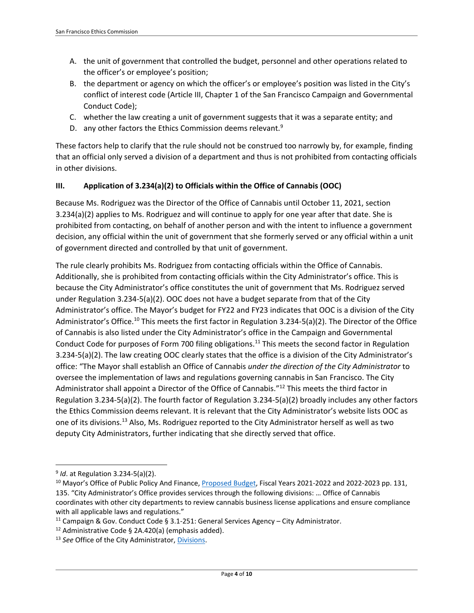- A. the unit of government that controlled the budget, personnel and other operations related to the officer's or employee's position;
- B. the department or agency on which the officer's or employee's position was listed in the City's conflict of interest code (Article III, Chapter 1 of the San Francisco Campaign and Governmental Conduct Code);
- C. whether the law creating a unit of government suggests that it was a separate entity; and
- D. any other factors the Ethics Commission deems relevant.<sup>9</sup>

These factors help to clarify that the rule should not be construed too narrowly by, for example, finding that an official only served a division of a department and thus is not prohibited from contacting officials in other divisions.

# **III. Application of 3.234(a)(2) to Officials within the Office of Cannabis (OOC)**

Because Ms. Rodriguez was the Director of the Office of Cannabis until October 11, 2021, section 3.234(a)(2) applies to Ms. Rodriguez and will continue to apply for one year after that date. She is prohibited from contacting, on behalf of another person and with the intent to influence a government decision, any official within the unit of government that she formerly served or any official within a unit of government directed and controlled by that unit of government.

The rule clearly prohibits Ms. Rodriguez from contacting officials within the Office of Cannabis. Additionally, she is prohibited from contacting officials within the City Administrator's office. This is because the City Administrator's office constitutes the unit of government that Ms. Rodriguez served under Regulation 3.234-5(a)(2). OOC does not have a budget separate from that of the City Administrator's office. The Mayor's budget for FY22 and FY23 indicates that OOC is a division of the City Administrator's Office.<sup>10</sup> This meets the first factor in Regulation 3.234-5(a)(2). The Director of the Office of Cannabis is also listed under the City Administrator's office in the Campaign and Governmental Conduct Code for purposes of Form 700 filing obligations.<sup>11</sup> This meets the second factor in Regulation 3.234-5(a)(2). The law creating OOC clearly states that the office is a division of the City Administrator's office: "The Mayor shall establish an Office of Cannabis *under the direction of the City Administrator* to oversee the implementation of laws and regulations governing cannabis in San Francisco. The City Administrator shall appoint a Director of the Office of Cannabis."<sup>12</sup> This meets the third factor in Regulation 3.234-5(a)(2). The fourth factor of Regulation 3.234-5(a)(2) broadly includes any other factors the Ethics Commission deems relevant. It is relevant that the City Administrator's website lists OOC as one of its divisions.<sup>13</sup> Also, Ms. Rodriguez reported to the City Administrator herself as well as two deputy City Administrators, further indicating that she directly served that office.

<sup>9</sup> *Id*. at Regulation 3.234-5(a)(2).

<sup>&</sup>lt;sup>10</sup> Mayor's Office of Public Policy And Finance, *Proposed Budget*, Fiscal Years 2021-2022 and 2022-2023 pp. 131, 135. "City Administrator's Office provides services through the following divisions: … Office of Cannabis coordinates with other city departments to review cannabis business license applications and ensure compliance with all applicable laws and regulations."

<sup>&</sup>lt;sup>11</sup> Campaign & Gov. Conduct Code § 3.1-251: General Services Agency – City Administrator.

<sup>&</sup>lt;sup>12</sup> Administrative Code § 2A.420(a) (emphasis added).

<sup>13</sup> *See* Office of the City Administrator, [Divisions.](https://sfgsa.org/departments-divisions-offices)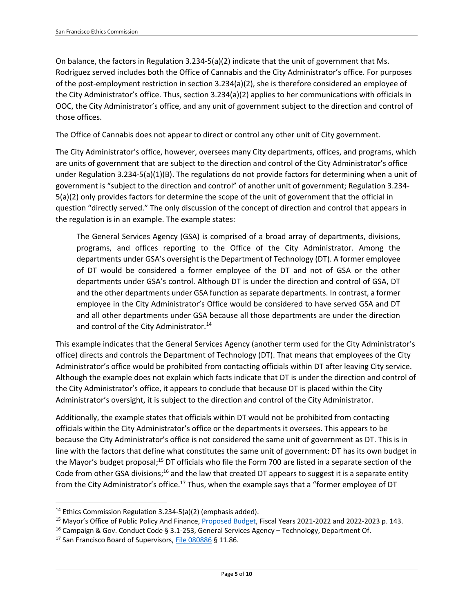On balance, the factors in Regulation 3.234-5(a)(2) indicate that the unit of government that Ms. Rodriguez served includes both the Office of Cannabis and the City Administrator's office. For purposes of the post-employment restriction in section 3.234(a)(2), she is therefore considered an employee of the City Administrator's office. Thus, section 3.234(a)(2) applies to her communications with officials in OOC, the City Administrator's office, and any unit of government subject to the direction and control of those offices.

The Office of Cannabis does not appear to direct or control any other unit of City government.

The City Administrator's office, however, oversees many City departments, offices, and programs, which are units of government that are subject to the direction and control of the City Administrator's office under Regulation 3.234-5(a)(1)(B). The regulations do not provide factors for determining when a unit of government is "subject to the direction and control" of another unit of government; Regulation 3.234- 5(a)(2) only provides factors for determine the scope of the unit of government that the official in question "directly served." The only discussion of the concept of direction and control that appears in the regulation is in an example. The example states:

The General Services Agency (GSA) is comprised of a broad array of departments, divisions, programs, and offices reporting to the Office of the City Administrator. Among the departments under GSA's oversight is the Department of Technology (DT). A former employee of DT would be considered a former employee of the DT and not of GSA or the other departments under GSA's control. Although DT is under the direction and control of GSA, DT and the other departments under GSA function as separate departments. In contrast, a former employee in the City Administrator's Office would be considered to have served GSA and DT and all other departments under GSA because all those departments are under the direction and control of the City Administrator.<sup>14</sup>

This example indicates that the General Services Agency (another term used for the City Administrator's office) directs and controls the Department of Technology (DT). That means that employees of the City Administrator's office would be prohibited from contacting officials within DT after leaving City service. Although the example does not explain which facts indicate that DT is under the direction and control of the City Administrator's office, it appears to conclude that because DT is placed within the City Administrator's oversight, it is subject to the direction and control of the City Administrator.

Additionally, the example states that officials within DT would not be prohibited from contacting officials within the City Administrator's office or the departments it oversees. This appears to be because the City Administrator's office is not considered the same unit of government as DT. This is in line with the factors that define what constitutes the same unit of government: DT has its own budget in the Mayor's budget proposal;<sup>15</sup> DT officials who file the Form 700 are listed in a separate section of the Code from other GSA divisions;<sup>16</sup> and the law that created DT appears to suggest it is a separate entity from the City Administrator's office.<sup>17</sup> Thus, when the example says that a "former employee of DT

<sup>&</sup>lt;sup>14</sup> Ethics Commission Regulation 3.234-5(a)(2) (emphasis added).

<sup>&</sup>lt;sup>15</sup> Mayor's Office of Public Policy And Finance[, Proposed Budget,](https://sfmayor.org/sites/default/files/FY22%20and%20FY23%20Budget%20Book%20Final%20for%20Web.pdf) Fiscal Years 2021-2022 and 2022-2023 p. 143.

<sup>&</sup>lt;sup>16</sup> Campaign & Gov. Conduct Code § 3.1-253, General Services Agency – Technology, Department Of.

<sup>&</sup>lt;sup>17</sup> San Francisco Board of Supervisors, [File 080886](https://sfgov.legistar.com/View.ashx?M=F&ID=2604176&GUID=661B6AE1-F1D4-4D48-BFB5-8EAB438AF75A) § 11.86.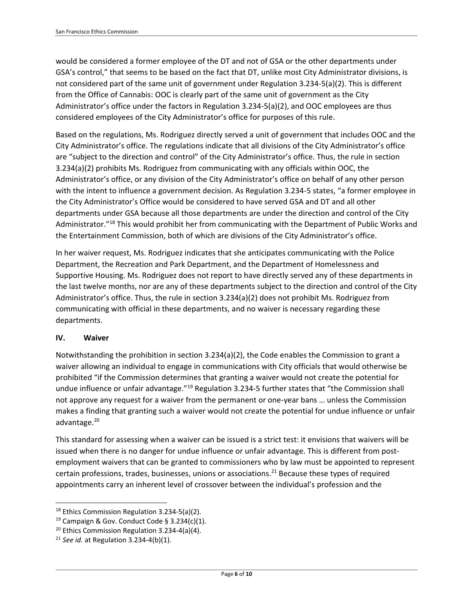would be considered a former employee of the DT and not of GSA or the other departments under GSA's control," that seems to be based on the fact that DT, unlike most City Administrator divisions, is not considered part of the same unit of government under Regulation 3.234-5(a)(2). This is different from the Office of Cannabis: OOC is clearly part of the same unit of government as the City Administrator's office under the factors in Regulation 3.234-5(a)(2), and OOC employees are thus considered employees of the City Administrator's office for purposes of this rule.

Based on the regulations, Ms. Rodriguez directly served a unit of government that includes OOC and the City Administrator's office. The regulations indicate that all divisions of the City Administrator's office are "subject to the direction and control" of the City Administrator's office. Thus, the rule in section 3.234(a)(2) prohibits Ms. Rodriguez from communicating with any officials within OOC, the Administrator's office, or any division of the City Administrator's office on behalf of any other person with the intent to influence a government decision. As Regulation 3.234-5 states, "a former employee in the City Administrator's Office would be considered to have served GSA and DT and all other departments under GSA because all those departments are under the direction and control of the City Administrator."<sup>18</sup> This would prohibit her from communicating with the Department of Public Works and the Entertainment Commission, both of which are divisions of the City Administrator's office.

In her waiver request, Ms. Rodriguez indicates that she anticipates communicating with the Police Department, the Recreation and Park Department, and the Department of Homelessness and Supportive Housing. Ms. Rodriguez does not report to have directly served any of these departments in the last twelve months, nor are any of these departments subject to the direction and control of the City Administrator's office. Thus, the rule in section 3.234(a)(2) does not prohibit Ms. Rodriguez from communicating with official in these departments, and no waiver is necessary regarding these departments.

# **IV. Waiver**

Notwithstanding the prohibition in section 3.234(a)(2), the Code enables the Commission to grant a waiver allowing an individual to engage in communications with City officials that would otherwise be prohibited "if the Commission determines that granting a waiver would not create the potential for undue influence or unfair advantage."<sup>19</sup> Regulation 3.234-5 further states that "the Commission shall not approve any request for a waiver from the permanent or one-year bans … unless the Commission makes a finding that granting such a waiver would not create the potential for undue influence or unfair advantage.<sup>20</sup>

This standard for assessing when a waiver can be issued is a strict test: it envisions that waivers will be issued when there is no danger for undue influence or unfair advantage. This is different from postemployment waivers that can be granted to commissioners who by law must be appointed to represent certain professions, trades, businesses, unions or associations.<sup>21</sup> Because these types of required appointments carry an inherent level of crossover between the individual's profession and the

<sup>18</sup> Ethics Commission Regulation 3.234-5(a)(2).

<sup>&</sup>lt;sup>19</sup> Campaign & Gov. Conduct Code § 3.234(c)(1).

<sup>20</sup> Ethics Commission Regulation 3.234-4(a)(4).

<sup>21</sup> *See id.* at Regulation 3.234-4(b)(1).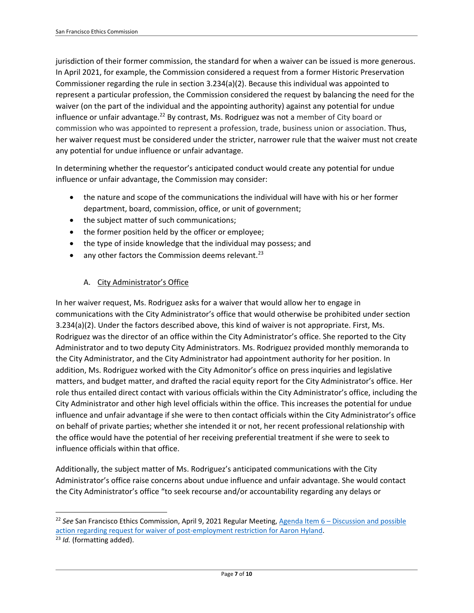jurisdiction of their former commission, the standard for when a waiver can be issued is more generous. In April 2021, for example, the Commission considered a request from a former Historic Preservation Commissioner regarding the rule in section 3.234(a)(2). Because this individual was appointed to represent a particular profession, the Commission considered the request by balancing the need for the waiver (on the part of the individual and the appointing authority) against any potential for undue influence or unfair advantage.<sup>22</sup> By contrast, Ms. Rodriguez was not a member of City board or commission who was appointed to represent a profession, trade, business union or association. Thus, her waiver request must be considered under the stricter, narrower rule that the waiver must not create any potential for undue influence or unfair advantage.

In determining whether the requestor's anticipated conduct would create any potential for undue influence or unfair advantage, the Commission may consider:

- the nature and scope of the communications the individual will have with his or her former department, board, commission, office, or unit of government;
- the subject matter of such communications;
- the former position held by the officer or employee;
- the type of inside knowledge that the individual may possess; and
- $\bullet$  any other factors the Commission deems relevant.<sup>23</sup>

# A. City Administrator's Office

In her waiver request, Ms. Rodriguez asks for a waiver that would allow her to engage in communications with the City Administrator's office that would otherwise be prohibited under section 3.234(a)(2). Under the factors described above, this kind of waiver is not appropriate. First, Ms. Rodriguez was the director of an office within the City Administrator's office. She reported to the City Administrator and to two deputy City Administrators. Ms. Rodriguez provided monthly memoranda to the City Administrator, and the City Administrator had appointment authority for her position. In addition, Ms. Rodriguez worked with the City Admonitor's office on press inquiries and legislative matters, and budget matter, and drafted the racial equity report for the City Administrator's office. Her role thus entailed direct contact with various officials within the City Administrator's office, including the City Administrator and other high level officials within the office. This increases the potential for undue influence and unfair advantage if she were to then contact officials within the City Administrator's office on behalf of private parties; whether she intended it or not, her recent professional relationship with the office would have the potential of her receiving preferential treatment if she were to seek to influence officials within that office.

Additionally, the subject matter of Ms. Rodriguez's anticipated communications with the City Administrator's office raise concerns about undue influence and unfair advantage. She would contact the City Administrator's office "to seek recourse and/or accountability regarding any delays or

<sup>&</sup>lt;sup>22</sup> See San Francisco Ethics Commission, April 9, 2021 Regular Meeting, Agenda Item 6 - Discussion and possible [action regarding request for waiver of post-employment restriction for Aaron Hyland.](https://sfethics.org/wp-content/uploads/2021/04/2021.04.09-Agenda-Item-6-Hyland-Waiver-Memo-FINAL.pdf) <sup>23</sup> *Id.* (formatting added).

Page **7** of **10**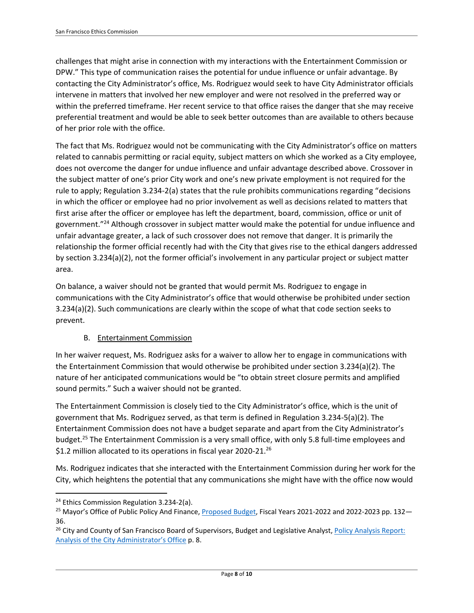challenges that might arise in connection with my interactions with the Entertainment Commission or DPW." This type of communication raises the potential for undue influence or unfair advantage. By contacting the City Administrator's office, Ms. Rodriguez would seek to have City Administrator officials intervene in matters that involved her new employer and were not resolved in the preferred way or within the preferred timeframe. Her recent service to that office raises the danger that she may receive preferential treatment and would be able to seek better outcomes than are available to others because of her prior role with the office.

The fact that Ms. Rodriguez would not be communicating with the City Administrator's office on matters related to cannabis permitting or racial equity, subject matters on which she worked as a City employee, does not overcome the danger for undue influence and unfair advantage described above. Crossover in the subject matter of one's prior City work and one's new private employment is not required for the rule to apply; Regulation 3.234-2(a) states that the rule prohibits communications regarding "decisions in which the officer or employee had no prior involvement as well as decisions related to matters that first arise after the officer or employee has left the department, board, commission, office or unit of government."<sup>24</sup> Although crossover in subject matter would make the potential for undue influence and unfair advantage greater, a lack of such crossover does not remove that danger. It is primarily the relationship the former official recently had with the City that gives rise to the ethical dangers addressed by section 3.234(a)(2), not the former official's involvement in any particular project or subject matter area.

On balance, a waiver should not be granted that would permit Ms. Rodriguez to engage in communications with the City Administrator's office that would otherwise be prohibited under section 3.234(a)(2). Such communications are clearly within the scope of what that code section seeks to prevent.

# B. Entertainment Commission

In her waiver request, Ms. Rodriguez asks for a waiver to allow her to engage in communications with the Entertainment Commission that would otherwise be prohibited under section 3.234(a)(2). The nature of her anticipated communications would be "to obtain street closure permits and amplified sound permits." Such a waiver should not be granted.

The Entertainment Commission is closely tied to the City Administrator's office, which is the unit of government that Ms. Rodriguez served, as that term is defined in Regulation 3.234-5(a)(2). The Entertainment Commission does not have a budget separate and apart from the City Administrator's budget.<sup>25</sup> The Entertainment Commission is a very small office, with only 5.8 full-time employees and \$1.2 million allocated to its operations in fiscal year 2020-21.<sup>26</sup>

Ms. Rodriguez indicates that she interacted with the Entertainment Commission during her work for the City, which heightens the potential that any communications she might have with the office now would

<sup>&</sup>lt;sup>24</sup> Ethics Commission Regulation 3.234-2(a).

<sup>&</sup>lt;sup>25</sup> Mayor's Office of Public Policy And Finance[, Proposed Budget,](https://sfmayor.org/sites/default/files/FY22%20and%20FY23%20Budget%20Book%20Final%20for%20Web.pdf) Fiscal Years 2021-2022 and 2022-2023 pp. 132-36.

<sup>&</sup>lt;sup>26</sup> City and County of San Francisco Board of Supervisors, Budget and Legislative Analyst, Policy Analysis Report: [Analysis of the City Adm](https://sfbos.org/sites/default/files/BLA.City%20Administrator.102221.pdf)inistrator's Office p. 8.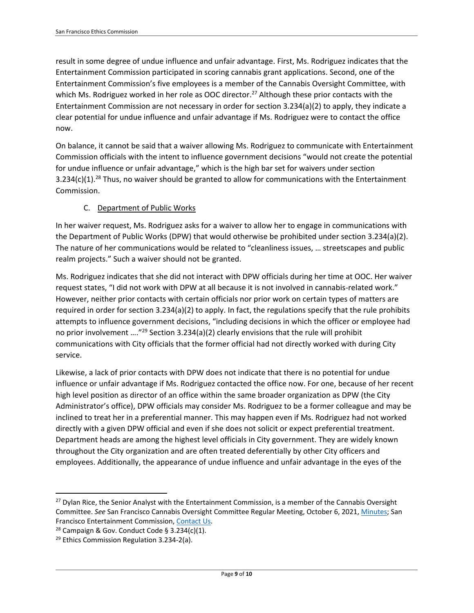result in some degree of undue influence and unfair advantage. First, Ms. Rodriguez indicates that the Entertainment Commission participated in scoring cannabis grant applications. Second, one of the Entertainment Commission's five employees is a member of the Cannabis Oversight Committee, with which Ms. Rodriguez worked in her role as OOC director.<sup>27</sup> Although these prior contacts with the Entertainment Commission are not necessary in order for section 3.234(a)(2) to apply, they indicate a clear potential for undue influence and unfair advantage if Ms. Rodriguez were to contact the office now.

On balance, it cannot be said that a waiver allowing Ms. Rodriguez to communicate with Entertainment Commission officials with the intent to influence government decisions "would not create the potential for undue influence or unfair advantage," which is the high bar set for waivers under section 3.234(c)(1).<sup>28</sup> Thus, no waiver should be granted to allow for communications with the Entertainment Commission.

# C. Department of Public Works

In her waiver request, Ms. Rodriguez asks for a waiver to allow her to engage in communications with the Department of Public Works (DPW) that would otherwise be prohibited under section 3.234(a)(2). The nature of her communications would be related to "cleanliness issues, … streetscapes and public realm projects." Such a waiver should not be granted.

Ms. Rodriguez indicates that she did not interact with DPW officials during her time at OOC. Her waiver request states, "I did not work with DPW at all because it is not involved in cannabis-related work." However, neither prior contacts with certain officials nor prior work on certain types of matters are required in order for section 3.234(a)(2) to apply. In fact, the regulations specify that the rule prohibits attempts to influence government decisions, "including decisions in which the officer or employee had no prior involvement ....<sup>"29</sup> Section 3.234(a)(2) clearly envisions that the rule will prohibit communications with City officials that the former official had not directly worked with during City service.

Likewise, a lack of prior contacts with DPW does not indicate that there is no potential for undue influence or unfair advantage if Ms. Rodriguez contacted the office now. For one, because of her recent high level position as director of an office within the same broader organization as DPW (the City Administrator's office), DPW officials may consider Ms. Rodriguez to be a former colleague and may be inclined to treat her in a preferential manner. This may happen even if Ms. Rodriguez had not worked directly with a given DPW official and even if she does not solicit or expect preferential treatment. Department heads are among the highest level officials in City government. They are widely known throughout the City organization and are often treated deferentially by other City officers and employees. Additionally, the appearance of undue influence and unfair advantage in the eyes of the

<sup>&</sup>lt;sup>27</sup> Dylan Rice, the Senior Analyst with the Entertainment Commission, is a member of the Cannabis Oversight Committee. *See* San Francisco Cannabis Oversight Committee Regular Meeting, October 6, 2021[, Minutes;](https://officeofcannabis.sfgov.org/node/2752) San Francisco Entertainment Commission, [Contact Us.](https://sfgov.org/entertainment/contact-us)

<sup>&</sup>lt;sup>28</sup> Campaign & Gov. Conduct Code § 3.234(c)(1).

<sup>&</sup>lt;sup>29</sup> Ethics Commission Regulation 3.234-2(a).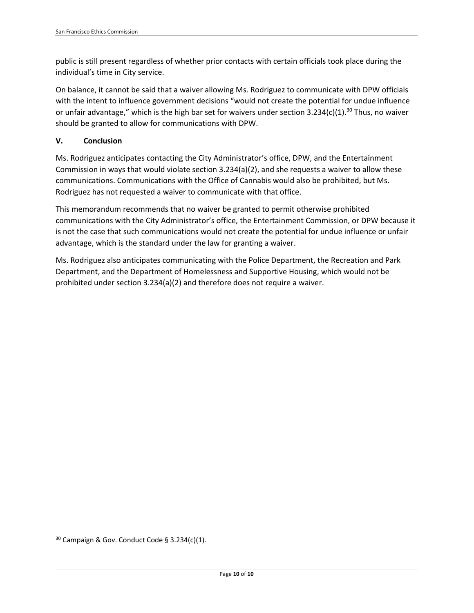public is still present regardless of whether prior contacts with certain officials took place during the individual's time in City service.

On balance, it cannot be said that a waiver allowing Ms. Rodriguez to communicate with DPW officials with the intent to influence government decisions "would not create the potential for undue influence or unfair advantage," which is the high bar set for waivers under section  $3.234(c)(1).^{30}$  Thus, no waiver should be granted to allow for communications with DPW.

## **V. Conclusion**

Ms. Rodriguez anticipates contacting the City Administrator's office, DPW, and the Entertainment Commission in ways that would violate section 3.234(a)(2), and she requests a waiver to allow these communications. Communications with the Office of Cannabis would also be prohibited, but Ms. Rodriguez has not requested a waiver to communicate with that office.

This memorandum recommends that no waiver be granted to permit otherwise prohibited communications with the City Administrator's office, the Entertainment Commission, or DPW because it is not the case that such communications would not create the potential for undue influence or unfair advantage, which is the standard under the law for granting a waiver.

Ms. Rodriguez also anticipates communicating with the Police Department, the Recreation and Park Department, and the Department of Homelessness and Supportive Housing, which would not be prohibited under section 3.234(a)(2) and therefore does not require a waiver.

 $30$  Campaign & Gov. Conduct Code § 3.234(c)(1).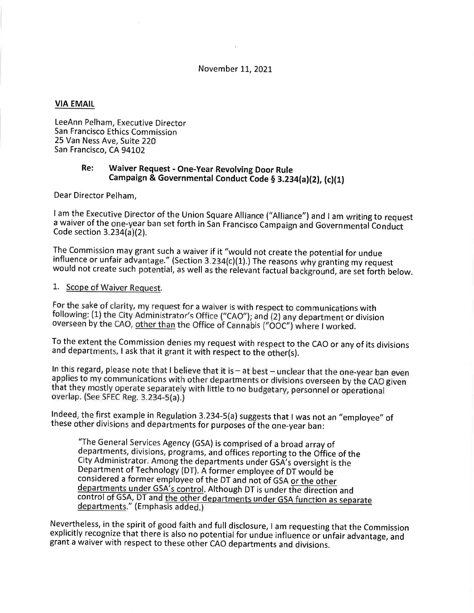### November 11, 2021

### **VIA EMAIL**

LeeAnn Pelham, Executive Director San Francisco Ethics Commission 25 Van Ness Ave. Suite 220 San Francisco, CA 94102

#### Re: Waiver Request - One-Year Revolving Door Rule Campaign & Governmental Conduct Code § 3.234(a)(2), (c)(1)

Dear Director Pelham.

I am the Executive Director of the Union Square Alliance ("Alliance") and I am writing to request a waiver of the one-year ban set forth in San Francisco Campaign and Governmental Conduct Code section 3.234(a)(2).

The Commission may grant such a waiver if it "would not create the potential for undue influence or unfair advantage." (Section 3.234(c)(1).) The reasons why granting my request would not create such potential, as well as the relevant factual background, are set forth below.

### 1. Scope of Waiver Request.

For the sake of clarity, my request for a waiver is with respect to communications with following: (1) the City Administrator's Office ("CAO"); and (2) any department or division overseen by the CAO, other than the Office of Cannabis ("OOC") where I worked.

To the extent the Commission denies my request with respect to the CAO or any of its divisions and departments, I ask that it grant it with respect to the other(s).

In this regard, please note that I believe that it is - at best - unclear that the one-year ban even applies to my communications with other departments or divisions overseen by the CAO given that they mostly operate separately with little to no budgetary, personnel or operational overlap. (See SFEC Reg. 3.234-5(a).)

Indeed, the first example in Regulation 3.234-5(a) suggests that I was not an "employee" of these other divisions and departments for purposes of the one-year ban:

"The General Services Agency (GSA) is comprised of a broad array of departments, divisions, programs, and offices reporting to the Office of the City Administrator. Among the departments under GSA's oversight is the Department of Technology (DT). A former employee of DT would be considered a former employee of the DT and not of GSA or the other departments under GSA's control. Although DT is under the direction and control of GSA, DT and the other departments under GSA function as separate departments." (Emphasis added.)

Nevertheless, in the spirit of good faith and full disclosure, I am requesting that the Commission explicitly recognize that there is also no potential for undue influence or unfair advantage, and grant a waiver with respect to these other CAO departments and divisions.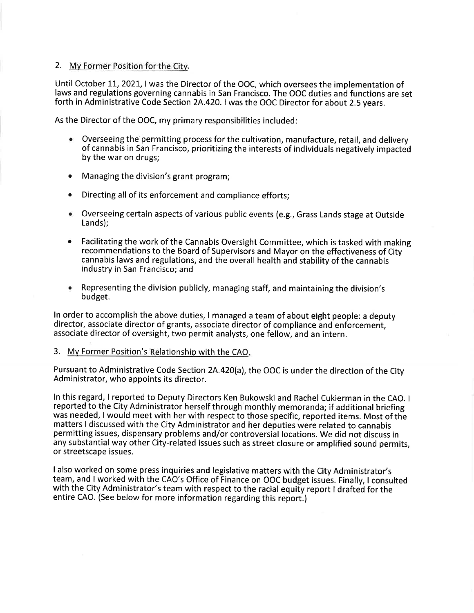### 2. My Former Position for the City.

Until October 11, 2021, I was the Director of the OOC, which oversees the implementation of laws and regulations governing cannabis in San Francisco. The OOC duties and functions are set forth in Administrative Code Section 2A.420. I was the OOC Director for about 2.5 years.

As the Director of the OOC, my primary responsibilities included:

- Overseeing the permitting process for the cultivation, manufacture, retail, and delivery of cannabis in San Francisco, prioritizing the interests of individuals negatively impacted by the war on drugs;
- Managing the division's grant program;  $\bullet$
- Directing all of its enforcement and compliance efforts;  $\bullet$
- Overseeing certain aspects of various public events (e.g., Grass Lands stage at Outside Lands):
- Facilitating the work of the Cannabis Oversight Committee, which is tasked with making recommendations to the Board of Supervisors and Mayor on the effectiveness of City cannabis laws and regulations, and the overall health and stability of the cannabis industry in San Francisco; and
- Representing the division publicly, managing staff, and maintaining the division's ۰ budget.

In order to accomplish the above duties, I managed a team of about eight people: a deputy director, associate director of grants, associate director of compliance and enforcement, associate director of oversight, two permit analysts, one fellow, and an intern.

3. My Former Position's Relationship with the CAO.

Pursuant to Administrative Code Section 2A.420(a), the OOC is under the direction of the City Administrator, who appoints its director.

In this regard, I reported to Deputy Directors Ken Bukowski and Rachel Cukierman in the CAO. I reported to the City Administrator herself through monthly memoranda; if additional briefing was needed, I would meet with her with respect to those specific, reported items. Most of the matters I discussed with the City Administrator and her deputies were related to cannabis permitting issues, dispensary problems and/or controversial locations. We did not discuss in any substantial way other City-related issues such as street closure or amplified sound permits, or streetscape issues.

I also worked on some press inquiries and legislative matters with the City Administrator's team, and I worked with the CAO's Office of Finance on OOC budget issues. Finally, I consulted with the City Administrator's team with respect to the racial equity report I drafted for the entire CAO. (See below for more information regarding this report.)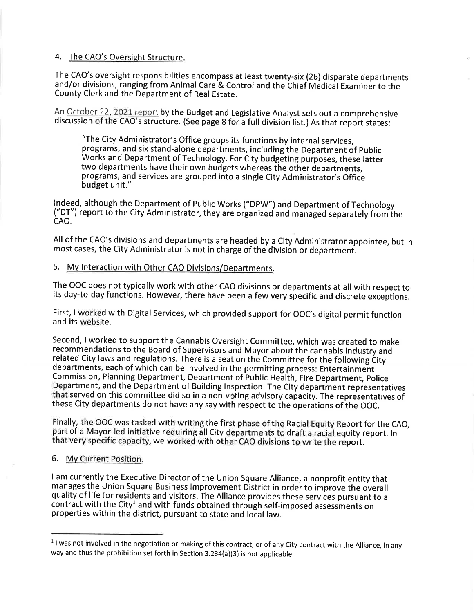### 4. The CAO's Oversight Structure.

The CAO's oversight responsibilities encompass at least twenty-six (26) disparate departments and/or divisions, ranging from Animal Care & Control and the Chief Medical Examiner to the County Clerk and the Department of Real Estate.

An October 22, 2021 report by the Budget and Legislative Analyst sets out a comprehensive discussion of the CAO's structure. (See page 8 for a full division list.) As that report states:

"The City Administrator's Office groups its functions by internal services, programs, and six stand-alone departments, including the Department of Public Works and Department of Technology. For City budgeting purposes, these latter two departments have their own budgets whereas the other departments. programs, and services are grouped into a single City Administrator's Office budget unit."

Indeed, although the Department of Public Works ("DPW") and Department of Technology ("DT") report to the City Administrator, they are organized and managed separately from the CAO.

All of the CAO's divisions and departments are headed by a City Administrator appointee, but in most cases, the City Administrator is not in charge of the division or department.

# 5. My Interaction with Other CAO Divisions/Departments.

The OOC does not typically work with other CAO divisions or departments at all with respect to its day-to-day functions. However, there have been a few very specific and discrete exceptions.

First, I worked with Digital Services, which provided support for OOC's digital permit function and its website.

Second, I worked to support the Cannabis Oversight Committee, which was created to make recommendations to the Board of Supervisors and Mayor about the cannabis industry and related City laws and regulations. There is a seat on the Committee for the following City departments, each of which can be involved in the permitting process: Entertainment Commission, Planning Department, Department of Public Health, Fire Department, Police Department, and the Department of Building Inspection. The City department representatives that served on this committee did so in a non-voting advisory capacity. The representatives of these City departments do not have any say with respect to the operations of the OOC.

Finally, the OOC was tasked with writing the first phase of the Racial Equity Report for the CAO, part of a Mayor-led initiative requiring all City departments to draft a racial equity report. In that very specific capacity, we worked with other CAO divisions to write the report.

### 6. My Current Position.

I am currently the Executive Director of the Union Square Alliance, a nonprofit entity that manages the Union Square Business Improvement District in order to improve the overall quality of life for residents and visitors. The Alliance provides these services pursuant to a contract with the City<sup>1</sup> and with funds obtained through self-imposed assessments on properties within the district, pursuant to state and local law.

 $1$  I was not involved in the negotiation or making of this contract, or of any City contract with the Alliance, in any way and thus the prohibition set forth in Section 3.234(a)(3) is not applicable.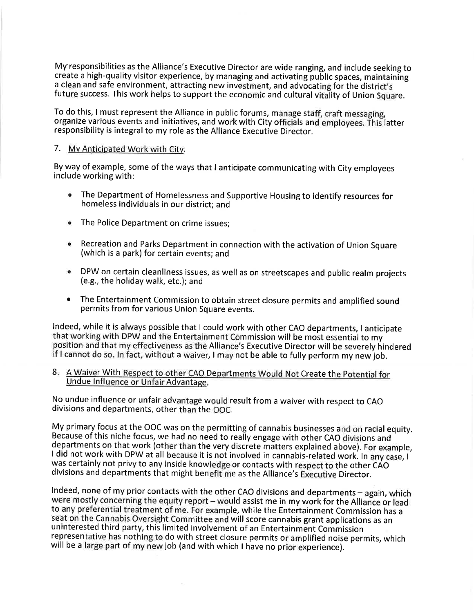My responsibilities as the Alliance's Executive Director are wide ranging, and include seeking to create a high-quality visitor experience, by managing and activating public spaces, maintaining a clean and safe environment, attracting new investment, and advocating for the district's future success. This work helps to support the economic and cultural vitality of Union Square.

To do this, I must represent the Alliance in public forums, manage staff, craft messaging, organize various events and initiatives, and work with City officials and employees. This latter responsibility is integral to my role as the Alliance Executive Director.

### 7. My Anticipated Work with City.

By way of example, some of the ways that I anticipate communicating with City employees include working with:

- The Department of Homelessness and Supportive Housing to identify resources for homeless individuals in our district; and
- The Police Department on crime issues:
- Recreation and Parks Department in connection with the activation of Union Square  $\bullet$ (which is a park) for certain events; and
- DPW on certain cleanliness issues, as well as on streetscapes and public realm projects (e.g., the holiday walk, etc.); and
- The Entertainment Commission to obtain street closure permits and amplified sound permits from for various Union Square events.

Indeed, while it is always possible that I could work with other CAO departments, I anticipate that working with DPW and the Entertainment Commission will be most essential to my position and that my effectiveness as the Alliance's Executive Director will be severely hindered if I cannot do so. In fact, without a waiver, I may not be able to fully perform my new job.

### 8. A Waiver With Respect to other CAO Departments Would Not Create the Potential for Undue Influence or Unfair Advantage.

No undue influence or unfair advantage would result from a waiver with respect to CAO divisions and departments, other than the OOC.

My primary focus at the OOC was on the permitting of cannabis businesses and on racial equity. Because of this niche focus, we had no need to really engage with other CAO divisions and departments on that work (other than the very discrete matters explained above). For example, I did not work with DPW at all because it is not involved in cannabis-related work. In any case, I was certainly not privy to any inside knowledge or contacts with respect to the other CAO divisions and departments that might benefit me as the Alliance's Executive Director.

Indeed, none of my prior contacts with the other CAO divisions and departments - again, which were mostly concerning the equity report - would assist me in my work for the Alliance or lead to any preferential treatment of me. For example, while the Entertainment Commission has a seat on the Cannabis Oversight Committee and will score cannabis grant applications as an uninterested third party, this limited involvement of an Entertainment Commission representative has nothing to do with street closure permits or amplified noise permits, which will be a large part of my new job (and with which I have no prior experience).